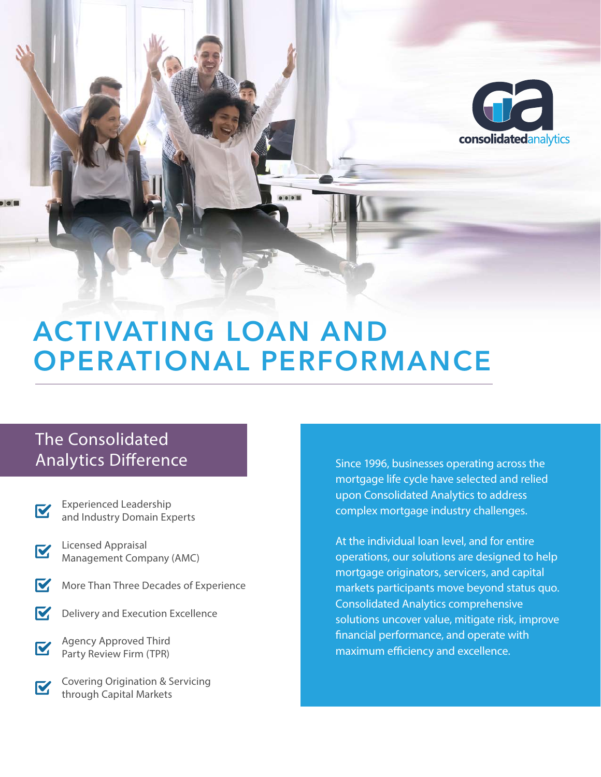

# ACTIVATING LOAN AND OPERATIONAL PERFORMANCE

## The Consolidated **Analytics Difference**

- Experienced Leadership V. and Industry Domain Experts
- Licensed Appraisal K Management Company (AMC)
- M More Than Three Decades of Experience
- M Delivery and Execution Excellence
- Agency Approved Third **M** Party Review Firm (TPR)
- Covering Origination & Servicing **V** through Capital Markets

Since 1996, businesses operating across the mortgage life cycle have selected and relied upon Consolidated Analytics to address complex mortgage industry challenges.

At the individual loan level, and for entire operations, our solutions are designed to help mortgage originators, servicers, and capital markets participants move beyond status quo. Consolidated Analytics comprehensive solutions uncover value, mitigate risk, improve nancial performance, and operate with maximum efficiency and excellence.